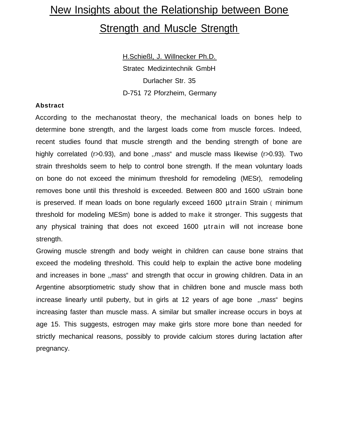# New Insights about the Relationship between Bone **Strength and Muscle Strength**

H.Schießl, J. Willnecker Ph.D. Stratec Medizintechnik GmbH Durlacher Str. 35 D-751 72 Pforzheim, Germany

### **Abstract**

According to the mechanostat theory, the mechanical loads on bones help to determine bone strength, and the largest loads come from muscle forces. Indeed, recent studies found that muscle strength and the bending strength of bone are highly correlated (r>0.93), and bone ,,mass" and muscle mass likewise (r>0.93). Two strain thresholds seem to help to control bone strength. If the mean voluntary loads on bone do not exceed the minimum threshold for remodeling (MESr), remodeling removes bone until this threshold is exceeded. Between 800 and 1600 uStrain bone is preserved. If mean loads on bone regularly exceed 1600 µtrain Strain ( minimum threshold for modeling MESm) bone is added to make it stronger. This suggests that any physical training that does not exceed 1600 µtrain will not increase bone strength.

Growing muscle strength and body weight in children can cause bone strains that exceed the modeling threshold. This could help to explain the active bone modeling and increases in bone ,,mass" and strength that occur in growing children. Data in an Argentine absorptiometric study show that in children bone and muscle mass both increase linearly until puberty, but in girls at 12 years of age bone ,,mass" begins increasing faster than muscle mass. A similar but smaller increase occurs in boys at age 15. This suggests, estrogen may make girls store more bone than needed for strictly mechanical reasons, possibly to provide calcium stores during lactation after pregnancy.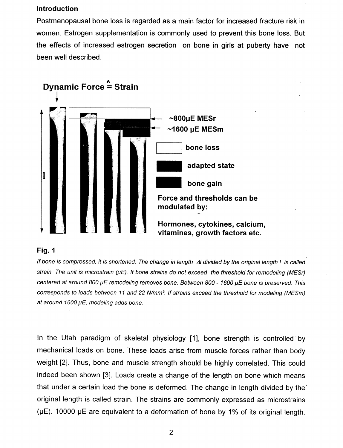## **Introduction**

Postmenopausal bone loss is regarded as a main factor for increased fracture risk in women. Estrogen supplementation is commonly used to prevent this bone loss. But the effects of increased estrogen secretion on bone in girls at puberty have not been well described.



## Fig. 1

If bone is compressed, it is shortened. The change in length  $\Delta l$  divided by the original length I is called strain. The unit is microstrain ( $\mu$ E). If bone strains do not exceed the threshold for remodeling (MESr) centered at around 800 µE remodeling removes bone. Between 800 - 1600 µE bone is preserved. This corresponds to loads between 11 and 22 N/mm<sup>2</sup>. If strains exceed the threshold for modeling (MESm) at around 1600 µE, modeling adds bone.

In the Utah paradigm of skeletal physiology [1], bone strength is controlled by mechanical loads on bone. These loads arise from muscle forces rather than body weight [2]. Thus, bone and muscle strength should be highly correlated. This could indeed been shown [3]. Loads create a change of the length on bone which means that under a certain load the bone is deformed. The change in length divided by the original length is called strain. The strains are commonly expressed as microstrains ( $\mu$ E). 10000  $\mu$ E are equivalent to a deformation of bone by 1% of its original length.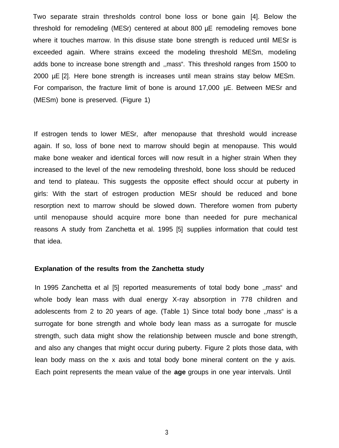Two separate strain thresholds control bone loss or bone gain [4]. Below the threshold for remodeling (MESr) centered at about 800 µE remodeling removes bone where it touches marrow. In this disuse state bone strength is reduced until MESr is exceeded again. Where strains exceed the modeling threshold MESm, modeling adds bone to increase bone strength and ,,mass". This threshold ranges from 1500 to 2000 µE [2]. Here bone strength is increases until mean strains stay below MESm. For comparison, the fracture limit of bone is around 17,000 µE. Between MESr and (MESm) bone is preserved. (Figure 1)

If estrogen tends to lower MESr, after menopause that threshold would increase again. If so, loss of bone next to marrow should begin at menopause. This would make bone weaker and identical forces will now result in a higher strain When they increased to the level of the new remodeling threshold, bone loss should be reduced and tend to plateau. This suggests the opposite effect should occur at puberty in girls: With the start of estrogen production MESr should be reduced and bone resorption next to marrow should be slowed down. Therefore women from puberty until menopause should acquire more bone than needed for pure mechanical reasons A study from Zanchetta et al. 1995 [5] supplies information that could test that idea.

# **Explanation of the results from the Zanchetta study**

In 1995 Zanchetta et al [5] reported measurements of total body bone ,,mass" and whole body lean mass with dual energy X-ray absorption in 778 children and adolescents from 2 to 20 years of age. (Table 1) Since total body bone ,,mass" is a surrogate for bone strength and whole body lean mass as a surrogate for muscle strength, such data might show the relationship between muscle and bone strength, and also any changes that might occur during puberty. Figure 2 plots those data, with lean body mass on the x axis and total body bone mineral content on the y axis. Each point represents the mean value of the **age** groups in one year intervals. Until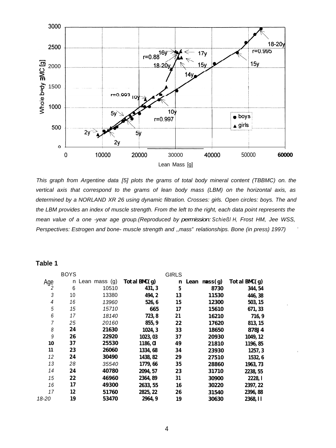

*This graph from Argentine data [5] plots the grams of total body mineral content (TBBMC) on. the vertical axis that correspond to the grams of lean body mass (LBM) on the horizontal axis, as determined by a NORLAND XR 26 using dynamic filtration. Crosses: girls. Open circles: boys. The and the LBM provides an index of muscle strength. From the left to the right, each data point represents the mean value of a one -year age group.(Reproduced by permission: Schießl H, Frost HM, Jee WSS, Perspectives: Estrogen and bone- muscle strength and ,,mass" relationships. Bone (in press) 1997)* '

# **Table 1**

|                          | <b>BOYS</b> |               |                 | <b>GIRLS</b> |                       |              |  |
|--------------------------|-------------|---------------|-----------------|--------------|-----------------------|--------------|--|
| Age                      | n           | Lean mass (g) | TotalBM(g)      | n            | Lean $\text{mass}(g)$ | TotalBM(g)   |  |
| 2                        | 6           | 10510         | 431, 3          | 5            | 8730                  | 344, 54      |  |
| 3                        | 10          | 13380         | 494, 2          | 13           | 11530                 | 446, 38      |  |
| $\overline{\mathcal{A}}$ | 16          | 13960         | 526, 6          | 15           | 12300                 | 503, 15      |  |
| 5                        | 15          | 15710         | 665             | 17           | 15610                 | 671, 33      |  |
| 6                        | 17          | 18140         | 723, 8          | 21           | 16210                 | 716, 9       |  |
| 7                        | 25          | 20160         | 855, 9          | 22           | 17620                 | 813, 15      |  |
| 8                        | 24          | 21630         | 1024, 3         | 33           | 18650                 | <b>878J4</b> |  |
| 9                        | 26          | 22920         | 1023, 03        | 37           | 20930                 | 1049, 12     |  |
| 10                       | 37          | 25530         | <b>1186, Ol</b> | 49           | 21810                 | 1196, 85     |  |
| 11                       | 23          | 26060         | 1334, 68        | 34           | 23930                 | 1257, 3      |  |
| 12                       | 24          | 30490         | 1438, 82        | 29           | 27510                 | 1532, 6      |  |
| 13                       | 28          | 35540         | 1779, 66        | 35           | 28860                 | 1963, 73     |  |
| 14                       | 24          | 40780         | 2094, 57        | 23           | 31710                 | 2238, 55     |  |
| 15                       | 22          | 46960         | 2364, 89        | 31           | 30900                 | 2228, 1      |  |
| 16                       | 17          | 49300         | 2633, 55        | 16           | 30220                 | 2397, 22     |  |
| 17                       | 12          | 51760         | 2825, 22        | 26           | 31540                 | 2396, 88     |  |
| 18-20                    | 19          | 53470         | 2964, 9         | 19           | 30630                 | 2368, 11     |  |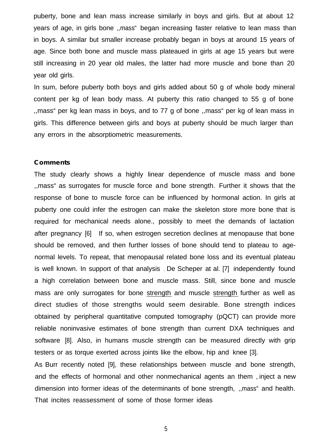puberty, bone and lean mass increase similarly in boys and girls. But at about 12 years of age, in girls bone ,,mass" began increasing faster relative to lean mass than in boys. A similar but smaller increase probably began in boys at around 15 years of age. Since both bone and muscle mass plateaued in girls at age 15 years but were still increasing in 20 year old males, the latter had more muscle and bone than 20 year old girls.

In sum, before puberty both boys and girls added about 50 g of whole body mineral content per kg of lean body mass. At puberty this ratio changed to 55 g of bone ,,mass" per kg lean mass in boys, and to 77 g of bone ,,mass" per kg of lean mass in girls. This difference between girls and boys at puberty should be much larger than any errors in the absorptiometric measurements.

#### **Comments**

The study clearly shows a highly linear dependence of muscle mass and bone ,,mass" as surrogates for muscle force and bone strength. Further it shows that the response of bone to muscle force can be influenced by hormonal action. In girls at puberty one could infer the estrogen can make the skeleton store more bone that is required for mechanical needs alone., possibly to meet the demands of lactation after pregnancy [6]. If so, when estrogen secretion declines at menopause that bone should be removed, and then further losses of bone should tend to plateau to agenormal levels. To repeat, that menopausal related bone loss and its eventual plateau is well known. In support of that analysis , De Scheper at al. [7] independently found a high correlation between bone and muscle mass. Still, since bone and muscle mass are only surrogates for bone strength and muscle strength further as well as direct studies of those strengths would seem desirable. Bone strength indices obtained by peripheral quantitative computed tomography (pQCT) can provide more reliable noninvasive estimates of bone strength than current DXA techniques and software [8]. Also, in humans muscle strength can be measured directly with grip testers or as torque exerted across joints like the elbow, hip and knee [3].

As Burr recently noted [9], these relationships between muscle and bone strength, and the effects of hormonal and other nonmechanical agents an them , inject a new dimension into former ideas of the determinants of bone strength, ,,mass" and health. That incites reassessment of some of those former ideas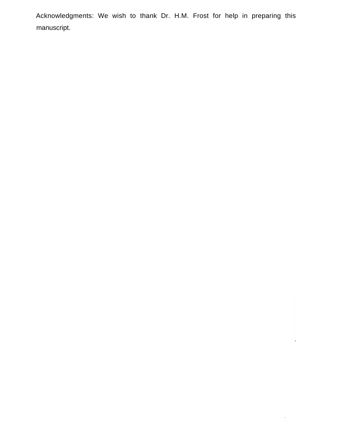Acknowledgments: We wish to thank Dr. H.M. Frost for help in preparing this manuscript.

 $\ddot{\phantom{1}}$ 

 $\hat{\mathcal{L}}$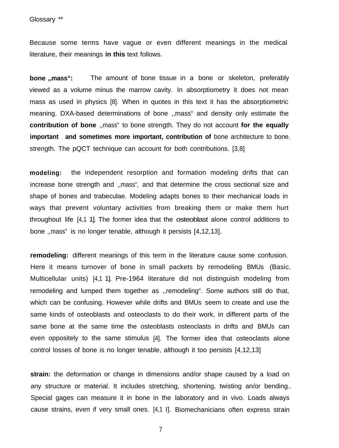Because some terms have vague or even different meanings in the medical literature, their meanings **in this** text follows.

**bone ,,mass":** The amount of bone tissue in a bone or skeleton, preferably viewed as a volume minus the marrow cavity. In absorptiometry it does not mean mass as used in physics [8]. When in quotes in this text it has the absorptiometric meaning. DXA-based determinations of bone ,,mass" and density only estimate the **contribution of bone** ,,mass" to bone strength. They do not account **for the equally important** , **and sometimes more important, contribution of** bone architecture to bone. strength. The pQCT technique can account for both contributions. [3,8]

**modeling:** the independent resorption and formation modeling drifts that can increase bone strength and ,,mass", and that determine the cross sectional size and shape of bones and trabeculae. Modeling adapts bones to their mechanical loads in ways that prevent voluntary activities from breaking them or make them hurt throughout life [4,1 1]. The former idea that the osteoblast alone control additions to bone ,,mass" is no longer tenable, although it persists [4,12,13].

**remodeling:** different meanings of this term in the literature cause some confusion. Here it means turnover of bone in small packets by remodeling BMUs (Basic. Multicellular units) [4,1 1]. Pre-1964 literature did not distinguish modeling from remodeling and lumped them together as ,,remodeling". Some authors still do that, which can be confusing. However while drifts and BMUs seem to create and use the same kinds of osteoblasts and osteoclasts to do their work, in different parts of the same bone at the same time the osteoblasts osteoclasts in drifts and BMUs can even oppositely to the same stimulus [4]. The former idea that osteoclasts alone control losses of bone is no longer tenable, although it too persists [4,12,13]

**strain:** the deformation or change in dimensions and/or shape caused by a load on any structure or material. It includes stretching, shortening, twisting an/or bending.. Special gages can measure it in bone in the laboratory and in vivo. Loads always cause strains, even if very small ones. [4,1 I]. Biomechanicians often express strain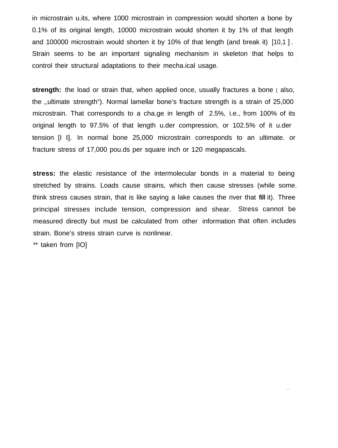in microstrain u.its, where 1000 microstrain in compression would shorten a bone by 0.1% of its original length, 10000 microstrain would shorten it by 1% of that length and 100000 microstrain would shorten it by 10% of that length (and break it) [10,1 ] . Strain seems to be an important signaling mechanism in skeleton that helps to control their structural adaptations to their mecha.ical usage.

.

**strength:** the load or strain that, when applied once, usually fractures a bone (also, the ,,ultimate strength"). Normal lamellar bone's fracture strength is a strain of 25,000 microstrain. That corresponds to a cha.ge in length of 2.5%, i.e., from 100% of its original length to 97.5% of that length u.der compression, or 102.5% of it u.der tension [I I]. In normal bone 25,000 microstrain corresponds to an ultimate. or fracture stress of 17,000 pou.ds per square inch or 120 megapascals.

**stress:** the elastic resistance of the intermolecular bonds in a material to being stretched by strains. Loads cause strains, which then cause stresses (while some. think stress causes strain, that is like saying a lake causes the river that **fill** it). Three principal stresses include tension, compression and shear. Stress cannot be measured directly but must be calculated from other information that often includesstrain. Bone's stress strain curve is nonlinear.

\*\* taken from [IO]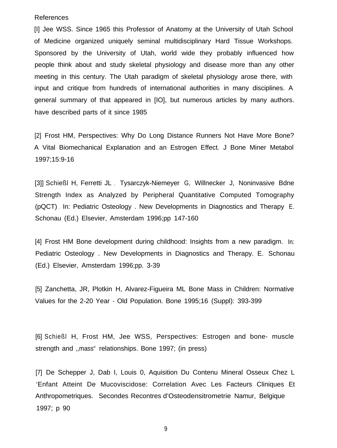#### References

[I] Jee WSS. Since 1965 this Professor of Anatomy at the University of Utah School of Medicine organized uniquely seminal multidisciplinary Hard Tissue Workshops. Sponsored by the University of Utah, world wide they probably influenced how people think about and study skeletal physiology and disease more than any other meeting in this century. The Utah paradigm of skeletal physiology arose there, with input and critique from hundreds of international authorities in many disciplines. A general summary of that appeared in [IO], but numerous articles by many authors. have described parts of it since 1985

[2] Frost HM, Perspectives: Why Do Long Distance Runners Not Have More Bone? A Vital Biomechanical Explanation and an Estrogen Effect. J Bone Miner Metabol 1997;15:9-16

[3]] Schießl H, Ferretti JL , Tysarczyk-Niemeyer G, Willnecker J, Noninvasive Bdne Strength Index as Analyzed by Peripheral Quantitative Computed Tomography (pQCT) . In: Pediatric Osteology . New Developments in Diagnostics and Therapy E. Schonau (Ed.) Elsevier, Amsterdam 1996;pp 147-160

[4] Frost HM Bone development during childhood: Insights from a new paradigm. In: Pediatric Osteology . New Developments in Diagnostics and Therapy. E. Schonau (Ed.) Elsevier, Amsterdam 1996;pp. 3-39

[5] Zanchetta, JR, Plotkin H, Alvarez-Figueira ML Bone Mass in Children: Normative Values for the 2-20 Year - Old Population. Bone 1995;16 (Suppl): 393-399

[6] Schießl H, Frost HM, Jee WSS, Perspectives: Estrogen and bone- muscle strength and ,,mass" relationships. Bone 1997; (in press)

[7] De Schepper J, Dab I, Louis 0, Aquisition Du Contenu Mineral Osseux Chez L 'Enfant Atteint De Mucoviscidose: Correlation Avec Les Facteurs Cliniques Et Anthropometriques. Secondes Recontres d'Osteodensitrometrie Namur, Belgique 1997; p 90